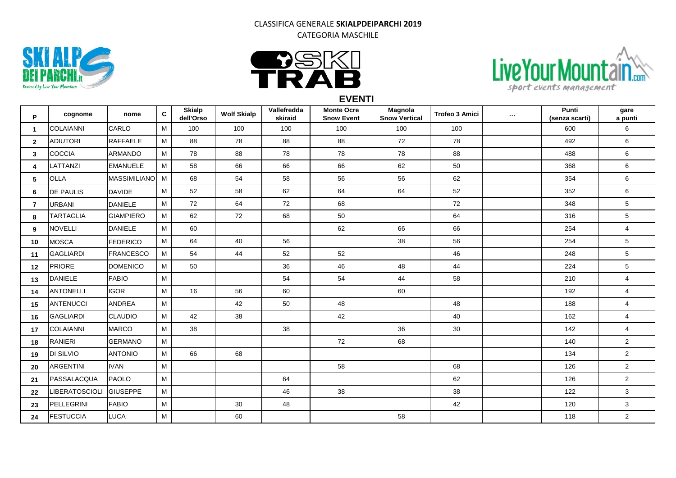## CLASSIFICA GENERALE **SKIALPDEIPARCHI 2019** CATEGORIA MASCHILE







**EVENTI**

| P              | cognome               | nome                | $\mathbf{C}$ | <b>Skialp</b><br>dell'Orso | <b>Wolf Skialp</b> | Vallefredda<br>skiraid | <b>Monte Ocre</b><br><b>Snow Event</b> | Magnola<br><b>Snow Vertical</b> | <b>Trofeo 3 Amici</b> | $\sim 10^{-1}$ | Punti<br>(senza scarti) | gare<br>a punti         |
|----------------|-----------------------|---------------------|--------------|----------------------------|--------------------|------------------------|----------------------------------------|---------------------------------|-----------------------|----------------|-------------------------|-------------------------|
| $\mathbf{1}$   | <b>COLAIANNI</b>      | CARLO               | M            | 100                        | 100                | 100                    | 100                                    | 100                             | 100                   |                | 600                     | 6                       |
| $\overline{2}$ | <b>ADIUTORI</b>       | <b>RAFFAELE</b>     | M            | 88                         | 78                 | 88                     | 88                                     | 72                              | 78                    |                | 492                     | 6                       |
| $\mathbf{3}$   | <b>COCCIA</b>         | ARMANDO             | M            | 78                         | 88                 | 78                     | 78                                     | 78                              | 88                    |                | 488                     | 6                       |
| 4              | LATTANZI              | <b>EMANUELE</b>     | M            | 58                         | 66                 | 66                     | 66                                     | 62                              | 50                    |                | 368                     | 6                       |
| 5              | <b>OLLA</b>           | <b>MASSIMILIANO</b> | M            | 68                         | 54                 | 58                     | 56                                     | 56                              | 62                    |                | 354                     | 6                       |
| 6              | <b>DE PAULIS</b>      | <b>DAVIDE</b>       | M            | 52                         | 58                 | 62                     | 64                                     | 64                              | 52                    |                | 352                     | 6                       |
| $\overline{7}$ | <b>URBANI</b>         | <b>DANIELE</b>      | M            | 72                         | 64                 | 72                     | 68                                     |                                 | 72                    |                | 348                     | 5                       |
| 8              | <b>TARTAGLIA</b>      | <b>GIAMPIERO</b>    | M            | 62                         | 72                 | 68                     | 50                                     |                                 | 64                    |                | 316                     | $\,$ 5 $\,$             |
| 9              | <b>NOVELLI</b>        | <b>DANIELE</b>      | M            | 60                         |                    |                        | 62                                     | 66                              | 66                    |                | 254                     | $\overline{\mathbf{4}}$ |
| 10             | <b>MOSCA</b>          | <b>FEDERICO</b>     | M            | 64                         | 40                 | 56                     |                                        | 38                              | 56                    |                | 254                     | $\mathbf 5$             |
| 11             | <b>GAGLIARDI</b>      | <b>FRANCESCO</b>    | M            | 54                         | 44                 | 52                     | 52                                     |                                 | 46                    |                | 248                     | $\overline{5}$          |
| 12             | <b>PRIORE</b>         | <b>DOMENICO</b>     | M            | 50                         |                    | 36                     | 46                                     | 48                              | 44                    |                | 224                     | 5                       |
| 13             | <b>DANIELE</b>        | <b>FABIO</b>        | M            |                            |                    | 54                     | 54                                     | 44                              | 58                    |                | 210                     | 4                       |
| 14             | <b>ANTONELLI</b>      | <b>IGOR</b>         | M            | 16                         | 56                 | 60                     |                                        | 60                              |                       |                | 192                     | $\overline{\mathbf{4}}$ |
| 15             | ANTENUCCI             | <b>ANDREA</b>       | M            |                            | 42                 | 50                     | 48                                     |                                 | 48                    |                | 188                     | $\overline{4}$          |
| 16             | GAGLIARDI             | <b>CLAUDIO</b>      | M            | 42                         | 38                 |                        | 42                                     |                                 | 40                    |                | 162                     | $\overline{\mathbf{4}}$ |
| 17             | <b>COLAIANNI</b>      | <b>MARCO</b>        | M            | 38                         |                    | 38                     |                                        | 36                              | 30                    |                | 142                     | $\overline{4}$          |
| 18             | <b>RANIERI</b>        | <b>GERMANO</b>      | M            |                            |                    |                        | 72                                     | 68                              |                       |                | 140                     | $\overline{2}$          |
| 19             | DI SILVIO             | <b>ANTONIO</b>      | M            | 66                         | 68                 |                        |                                        |                                 |                       |                | 134                     | $\overline{2}$          |
| 20             | <b>ARGENTINI</b>      | <b>IVAN</b>         | M            |                            |                    |                        | 58                                     |                                 | 68                    |                | 126                     | $\overline{2}$          |
| 21             | PASSALACQUA           | <b>PAOLO</b>        | M            |                            |                    | 64                     |                                        |                                 | 62                    |                | 126                     | $\overline{c}$          |
| 22             | <b>LIBERATOSCIOLI</b> | <b>GIUSEPPE</b>     | M            |                            |                    | 46                     | 38                                     |                                 | 38                    |                | 122                     | 3                       |
| 23             | PELLEGRINI            | <b>FABIO</b>        | M            |                            | 30                 | 48                     |                                        |                                 | 42                    |                | 120                     | 3                       |
| 24             | <b>FESTUCCIA</b>      | LUCA                | M            |                            | 60                 |                        |                                        | 58                              |                       |                | 118                     | $\overline{2}$          |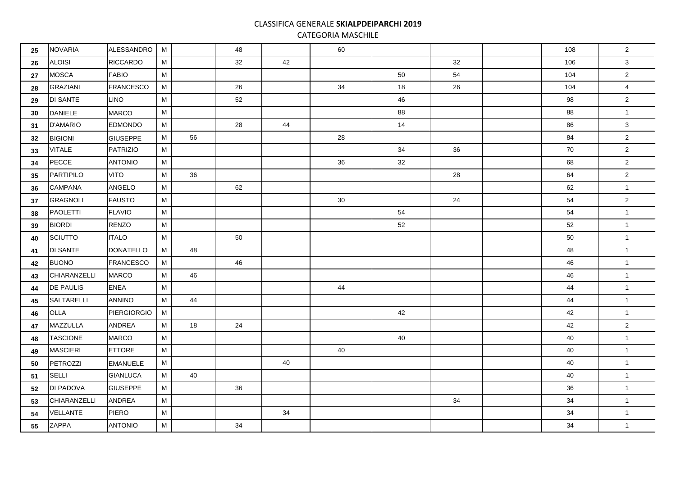## CLASSIFICA GENERALE **SKIALPDEIPARCHI 2019**

CATEGORIA MASCHILE

| 25 | <b>NOVARIA</b>   | ALESSANDRO         | M |    | 48 |    | 60 |    |    | 108 | $\overline{2}$ |
|----|------------------|--------------------|---|----|----|----|----|----|----|-----|----------------|
| 26 | <b>ALOISI</b>    | <b>RICCARDO</b>    | M |    | 32 | 42 |    |    | 32 | 106 | 3              |
| 27 | <b>MOSCA</b>     | <b>FABIO</b>       | M |    |    |    |    | 50 | 54 | 104 | $\overline{2}$ |
| 28 | <b>GRAZIANI</b>  | <b>FRANCESCO</b>   | M |    | 26 |    | 34 | 18 | 26 | 104 | 4              |
| 29 | <b>DI SANTE</b>  | <b>LINO</b>        | M |    | 52 |    |    | 46 |    | 98  | $\mathbf 2$    |
| 30 | <b>DANIELE</b>   | <b>MARCO</b>       | М |    |    |    |    | 88 |    | 88  | $\mathbf{1}$   |
| 31 | <b>D'AMARIO</b>  | <b>EDMONDO</b>     | M |    | 28 | 44 |    | 14 |    | 86  | 3              |
| 32 | <b>BIGIONI</b>   | <b>GIUSEPPE</b>    | M | 56 |    |    | 28 |    |    | 84  | $\overline{2}$ |
| 33 | <b>VITALE</b>    | <b>PATRIZIO</b>    | М |    |    |    |    | 34 | 36 | 70  | $\overline{2}$ |
| 34 | PECCE            | <b>ANTONIO</b>     | M |    |    |    | 36 | 32 |    | 68  | $\overline{2}$ |
| 35 | PARTIPILO        | <b>VITO</b>        | M | 36 |    |    |    |    | 28 | 64  | $\overline{2}$ |
| 36 | <b>CAMPANA</b>   | ANGELO             | M |    | 62 |    |    |    |    | 62  | $\mathbf{1}$   |
| 37 | <b>GRAGNOLI</b>  | <b>FAUSTO</b>      | M |    |    |    | 30 |    | 24 | 54  | $\overline{2}$ |
| 38 | <b>PAOLETTI</b>  | <b>FLAVIO</b>      | M |    |    |    |    | 54 |    | 54  | $\mathbf{1}$   |
| 39 | <b>BIORDI</b>    | <b>RENZO</b>       | M |    |    |    |    | 52 |    | 52  | $\overline{1}$ |
| 40 | SCIUTTO          | <b>ITALO</b>       | M |    | 50 |    |    |    |    | 50  | $\mathbf{1}$   |
| 41 | <b>DI SANTE</b>  | <b>DONATELLO</b>   | M | 48 |    |    |    |    |    | 48  | $\mathbf{1}$   |
| 42 | <b>BUONO</b>     | <b>FRANCESCO</b>   | М |    | 46 |    |    |    |    | 46  | $\mathbf{1}$   |
| 43 | CHIARANZELLI     | <b>MARCO</b>       | М | 46 |    |    |    |    |    | 46  | $\overline{1}$ |
| 44 | <b>DE PAULIS</b> | <b>ENEA</b>        | M |    |    |    | 44 |    |    | 44  | $\mathbf{1}$   |
| 45 | SALTARELLI       | <b>ANNINO</b>      | M | 44 |    |    |    |    |    | 44  | $\mathbf{1}$   |
| 46 | OLLA             | <b>PIERGIORGIO</b> | M |    |    |    |    | 42 |    | 42  | $\mathbf{1}$   |
| 47 | MAZZULLA         | ANDREA             | М | 18 | 24 |    |    |    |    | 42  | $\overline{2}$ |
| 48 | <b>TASCIONE</b>  | <b>MARCO</b>       | M |    |    |    |    | 40 |    | 40  | $\mathbf{1}$   |
| 49 | <b>MASCIERI</b>  | <b>ETTORE</b>      | M |    |    |    | 40 |    |    | 40  | $\mathbf{1}$   |
| 50 | PETROZZI         | <b>EMANUELE</b>    | М |    |    | 40 |    |    |    | 40  | $\mathbf{1}$   |
| 51 | SELLI            | <b>GIANLUCA</b>    | M | 40 |    |    |    |    |    | 40  | $\mathbf{1}$   |
| 52 | <b>DI PADOVA</b> | <b>GIUSEPPE</b>    | М |    | 36 |    |    |    |    | 36  | $\mathbf{1}$   |
| 53 | CHIARANZELLI     | ANDREA             | М |    |    |    |    |    | 34 | 34  | $\mathbf{1}$   |
| 54 | VELLANTE         | <b>PIERO</b>       | M |    |    | 34 |    |    |    | 34  | $\mathbf{1}$   |
| 55 | ZAPPA            | <b>ANTONIO</b>     | М |    | 34 |    |    |    |    | 34  | $\mathbf{1}$   |